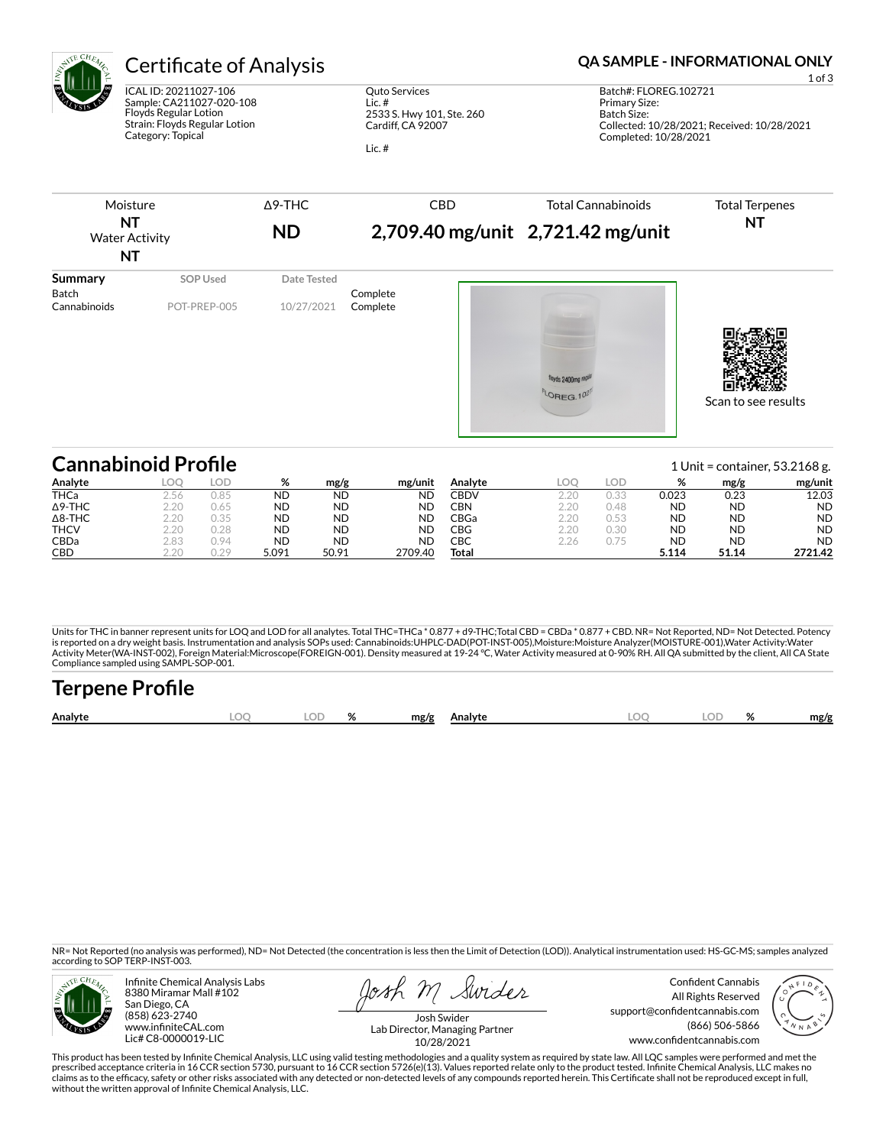

ICAL ID: 20211027-106 Sample: CA211027-020-108 Floyds Regular Lotion Strain: Floyds Regular Lotion Category: Topical

Quto Services Lic. # 2533 S. Hwy 101, Ste. 260 Cardiff, CA 92007

Lic. #

## Certificate of Analysis **Certificate of Analysis QA SAMPLE - INFORMATIONAL ONLY**



| <b>Cannabinoid Profile</b><br>1 Unit = container, $53.2168$ g. |      |      |           |           |           |             |      |      |           |           |           |
|----------------------------------------------------------------|------|------|-----------|-----------|-----------|-------------|------|------|-----------|-----------|-----------|
| Analyte                                                        | LOO  | LOD  | %         | mg/g      | mg/unit   | Analvte     | LOC  | LOD  | %         | mg/g      | mg/unit   |
| <b>THCa</b>                                                    | 2.56 | 0.85 | <b>ND</b> | <b>ND</b> | <b>ND</b> | <b>CBDV</b> | 2.20 | 0.33 | 0.023     | 0.23      | 12.03     |
| $\Delta$ 9-THC                                                 | 2.20 | 0.65 | <b>ND</b> | <b>ND</b> | <b>ND</b> | CBN         | 2.20 | 0.48 | ND        | <b>ND</b> | <b>ND</b> |
| $\Delta$ 8-THC                                                 | 2.20 | 0.35 | <b>ND</b> | <b>ND</b> | <b>ND</b> | CBGa∶       | 2.20 | 0.53 | <b>ND</b> | <b>ND</b> | <b>ND</b> |
| <b>THCV</b>                                                    | 2.20 | 0.28 | <b>ND</b> | <b>ND</b> | <b>ND</b> | CBG         | 2.20 | 0.30 | <b>ND</b> | <b>ND</b> | <b>ND</b> |
| CBDa                                                           | 2.83 | 0.94 | <b>ND</b> | <b>ND</b> | <b>ND</b> | CBC         | 2.26 | 0.75 | <b>ND</b> | <b>ND</b> | <b>ND</b> |
| CBD                                                            | 2.20 | 0.29 | 5.091     | 50.91     | 2709.40   | Total       |      |      | 5.114     | 51.14     | 2721.42   |

Units for THC in banner represent units for LOQ and LOD for all analytes. Total THC=THCa \* 0.877 + d9-THC;Total CBD = CBDa \* 0.877 + CBD. NR= Not Reported, ND= Not Detected. Potency<br>is reported on a dry weight basis. Instr Activity Meter(WA-INST-002), Foreign Material:Microscope(FOREIGN-001). Density measured at 19-24 °C, Water Activity measured at 0-90% RH. All QA submitted by the client, All CA State Compliance sampled using SAMPL-SOP-001.

| <b>Terpene Profile</b> |     |    |      |         |  |  |      |
|------------------------|-----|----|------|---------|--|--|------|
| Analyte                | .OC | OD | mg/g | Analvte |  |  | mg/g |

NR= Not Reported (no analysis was performed), ND= Not Detected (the concentration is less then the Limit of Detection (LOD)). Analytical instrumentation used: HS-GC-MS; samples analyzed according to SOP TERP-INST-003.



Infinite Chemical Analysis Labs 8380 Miramar Mall #102 San Diego, CA (858) 623-2740 www.infiniteCAL.com Lic# C8-0000019-LIC

Swider

Confident Cannabis All Rights Reserved support@confidentcannabis.com (866) 506-5866 www.confidentcannabis.com



Josh Swider Lab Director, Managing Partner 10/28/2021

This product has been tested by Infinite Chemical Analysis, LLC using valid testing methodologies and a quality system as required by state law. All LQC samples were performed and met the prescribed acceptance criteria in 16 CCR section 5730, pursuant to 16 CCR section 5726(e)(13). Values reported relate only to the product tested. Infinite Chemical Analysis, LLC makes no<br>claims as to the efficacy, safety o without the written approval of Infinite Chemical Analysis, LLC.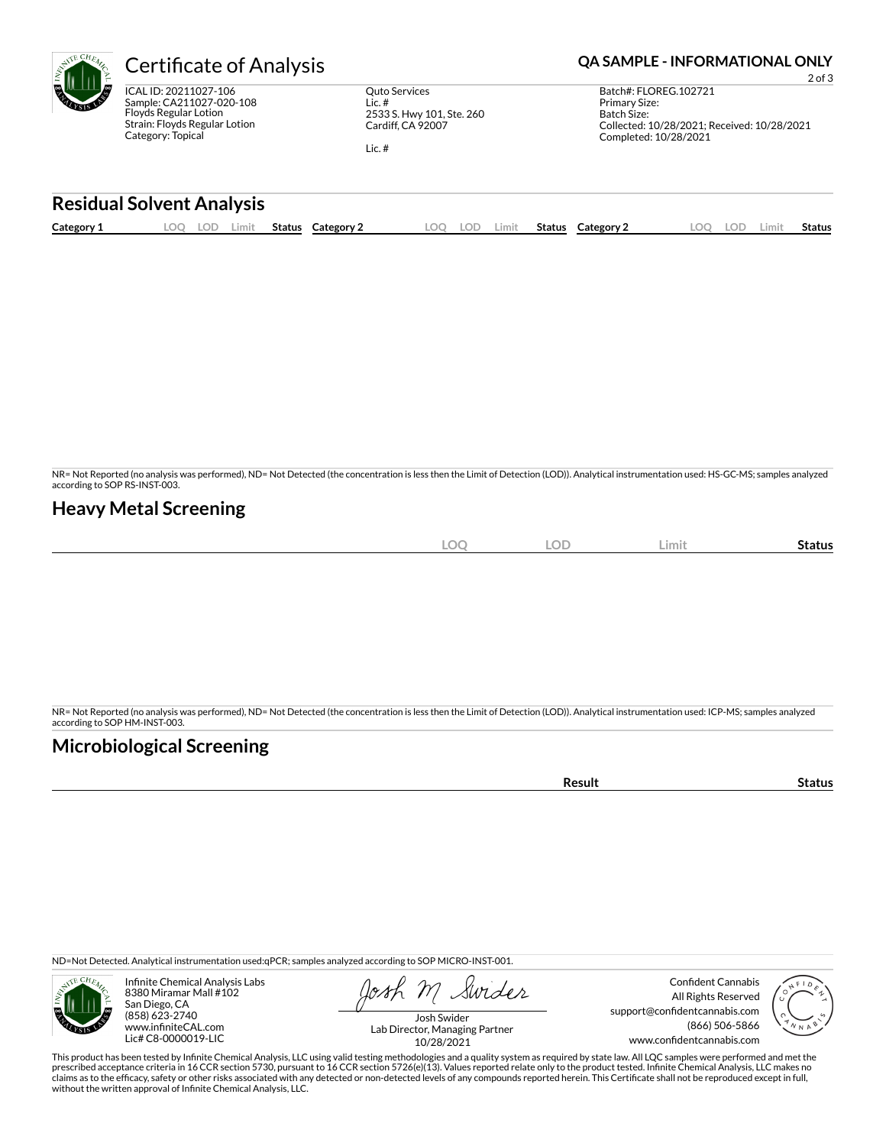ICAL ID: 20211027-106 Sample: CA211027-020-108 Floyds Regular Lotion Strain: Floyds Regular Lotion Category: Topical

Quto Services Lic. # 2533 S. Hwy 101, Ste. 260 Cardiff, CA 92007

Lic. #

# **Certificate of Analysis <b>Certificate of Analysis QA SAMPLE - INFORMATIONAL ONLY**

2 of 3 Batch#: FLOREG.102721 Primary Size: Batch Size: Collected: 10/28/2021; Received: 10/28/2021 Completed: 10/28/2021

### **Residual Solvent Analysis**

| Category 1 | OС<br>LOD. | Limit | Status | Category | OO | LOD | Limit. | Status | Category $\angle$ | <b>LOC</b> | .OF | ∟imit | Status |
|------------|------------|-------|--------|----------|----|-----|--------|--------|-------------------|------------|-----|-------|--------|
|            |            |       |        |          |    |     |        |        |                   |            |     |       |        |

NR= Not Reported (no analysis was performed), ND= Not Detected (the concentration is less then the Limit of Detection (LOD)). Analytical instrumentation used: HS-GC-MS; samples analyzed according to SOP RS-INST-003.

### **Heavy Metal Screening**

| $\Omega$<br>∽<br>$\tilde{\phantom{a}}$ | <b>LOD</b> | Limit | -<br>Status |
|----------------------------------------|------------|-------|-------------|
|                                        |            |       |             |

NR= Not Reported (no analysis was performed), ND= Not Detected (the concentration is less then the Limit of Detection (LOD)). Analytical instrumentation used: ICP-MS; samples analyzed according to SOP HM-INST-003.

### **Microbiological Screening**

**Result Status** 

ND=Not Detected. Analytical instrumentation used:qPCR; samples analyzed according to SOP MICRO-INST-001.



Infinite Chemical Analysis Labs 8380 Miramar Mall #102 San Diego, CA (858) 623-2740 www.infiniteCAL.com Lic# C8-0000019-LIC

Swider

Confident Cannabis All Rights Reserved support@confidentcannabis.com (866) 506-5866 www.confidentcannabis.com



Josh Swider Lab Director, Managing Partner 10/28/2021

This product has been tested by Infinite Chemical Analysis, LLC using valid testing methodologies and a quality system as required by state law. All LQC samples were performed and met the prescribed acceptance criteria in 16 CCR section 5730, pursuant to 16 CCR section 5726(e)(13). Values reported relate only to the product tested. Infinite Chemical Analysis, LLC makes no<br>claims as to the efficacy, safety o without the written approval of Infinite Chemical Analysis, LLC.